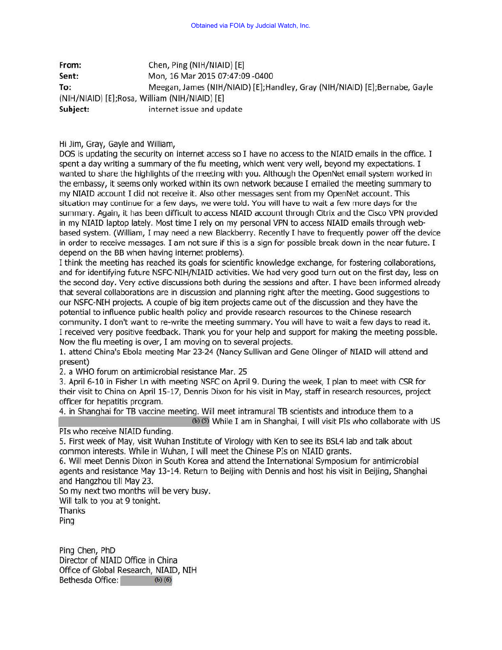From: Chen, Ping (NIH/NIAID) [E] Sent: Mon, 16 Mar 2015 07:47:09 -0400 To: Meegan, James (NIH/NIAID) [E); Handley, Gray (NIH/NIAID) [E); Bernabe, Gayle (NIH/NIAID) [E];Rosa, William (NIH/NIAID) [E) Subject: internet issue and update

Hi Jim, Gray, Gayle and William,

DOS is updating the security on internet access so I have no access to the NIAID emails in the office. I spent a day writing a summary of the flu meeting, which went very well, beyond my expectations. I wanted to share the highlights of the meeting with you. Although the OpenNet email system worked in the embassy, it seems only worked within its own network because I emailed the meeting summary to my NIAID account I did not receive it. Also other messages sent from my OpenNet account. This situation may continue for a few days, we were told. You will have to wait a few more days for the summary. Again, it has been difficult to access NIAID account through Citrix and the Cisco VPN provided in my NIAID laptop lately. Most time I rely on my personal VPN to access NIAID emails through webbased system. (William, I may need a new Blackberry. Recently I have to frequently power off the device in order to receive messages. I am not sure if this is a sign for possible break down in the near future. I depend on the BB when having internet problems).

I think the meeting has reached its goals for scientific knowledge exchange, for fostering collaborations, and for identifying future NSFC-NIH/NIAID activities. We had very good turn out on the first day, less on the second day. Very active discussions both during the sessions and after. I have been informed already that several collaborations are in discussion and planning right after the meeting. Good suggestions to our NSFC-NIH projects. A couple of big item projects came out of the discussion and they have the potential to influence public health policy and provide research resources to the Chinese research community. I don't want to re-write the meeting summary. You will have to wait a few days to read it. I received very positive feedback. Thank you for your help and support for making the meeting possible. Now the flu meeting is over, I am moving on to several projects.

1. attend China's Ebola meeting Mar 23-24 (Nancy Sullivan and Gene Olinger of NIAID will attend and present)

2. a WHO forum on antimicrobial resistance Mar. 25

3. April 6-10 in Fisher Ln with meeting NSFC on April 9. During the week, I plan to meet with CSR for their visit to China on April 15-17, Dennis Dixon for his visit in May, staff in research resources, project officer for hepatitis program.

4. in Shanghai for TB vaccine meeting. Will meet intramural TB scientists and introduce them to a  $(b)$  (5) While I am in Shanghai, I will visit PIs who collaborate with US

## Pis who receive NIAID funding.

5. First week of May, visit Wuhan Institute of Virology with Ken to see its BSL4 lab and talk about common interests. While in Wuhan, I will meet the Chinese Pis on NIAID grants.

6. Will meet Dennis Dixon in South Korea and attend the International Symposium for antimicrobial agents and resistance May 13-14. Return to Beijing with Dennis and host his visit in Beijing, Shanghai and Hangzhou till May 23.

So my next two months will be very busy. Will talk to you at 9 tonight. Thanks

Ping

Ping Chen, PhD Director of NIAID Office in China Office of Global Research, NIAID, NIH Bethesda Office: (b) (6)